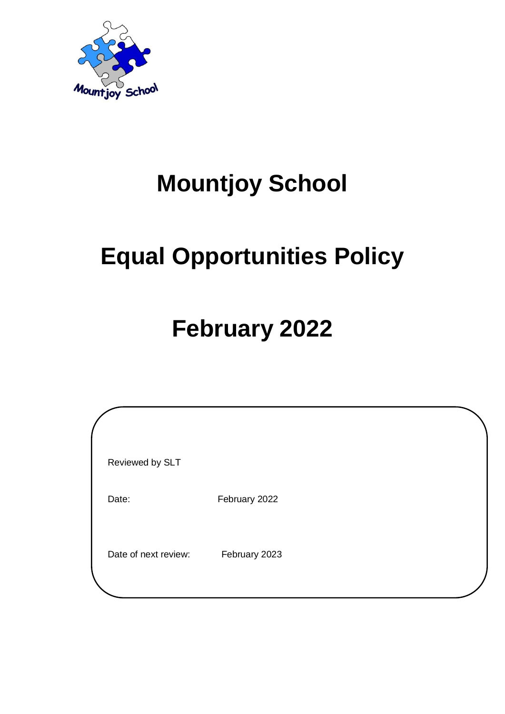

## **Mountjoy School**

# **Equal Opportunities Policy**

## **February 2022**

| Reviewed by SLT      |               |  |
|----------------------|---------------|--|
| Date:                | February 2022 |  |
| Date of next review: | February 2023 |  |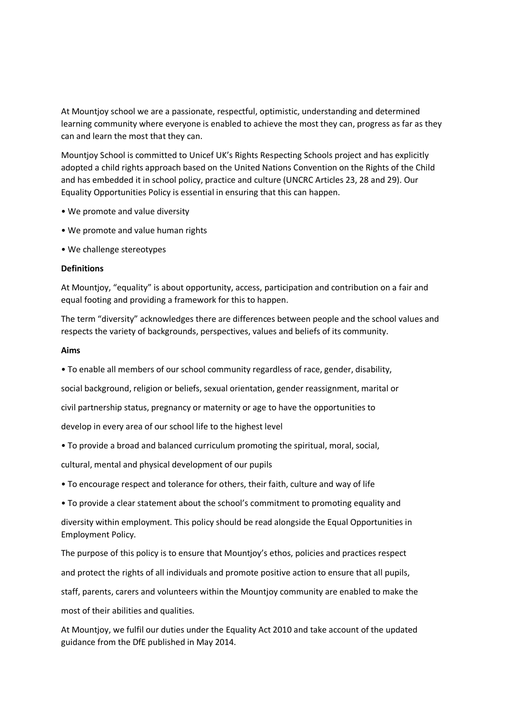At Mountjoy school we are a passionate, respectful, optimistic, understanding and determined learning community where everyone is enabled to achieve the most they can, progress as far as they can and learn the most that they can.

Mountjoy School is committed to Unicef UK's Rights Respecting Schools project and has explicitly adopted a child rights approach based on the United Nations Convention on the Rights of the Child and has embedded it in school policy, practice and culture (UNCRC Articles 23, 28 and 29). Our Equality Opportunities Policy is essential in ensuring that this can happen.

- We promote and value diversity
- We promote and value human rights
- We challenge stereotypes

## **Definitions**

At Mountjoy, "equality" is about opportunity, access, participation and contribution on a fair and equal footing and providing a framework for this to happen.

The term "diversity" acknowledges there are differences between people and the school values and respects the variety of backgrounds, perspectives, values and beliefs of its community.

## **Aims**

• To enable all members of our school community regardless of race, gender, disability,

social background, religion or beliefs, sexual orientation, gender reassignment, marital or

civil partnership status, pregnancy or maternity or age to have the opportunities to

develop in every area of our school life to the highest level

• To provide a broad and balanced curriculum promoting the spiritual, moral, social,

cultural, mental and physical development of our pupils

• To encourage respect and tolerance for others, their faith, culture and way of life

• To provide a clear statement about the school's commitment to promoting equality and

diversity within employment. This policy should be read alongside the Equal Opportunities in Employment Policy.

The purpose of this policy is to ensure that Mountjoy's ethos, policies and practices respect

and protect the rights of all individuals and promote positive action to ensure that all pupils,

staff, parents, carers and volunteers within the Mountjoy community are enabled to make the

most of their abilities and qualities.

At Mountjoy, we fulfil our duties under the Equality Act 2010 and take account of the updated guidance from the DfE published in May 2014.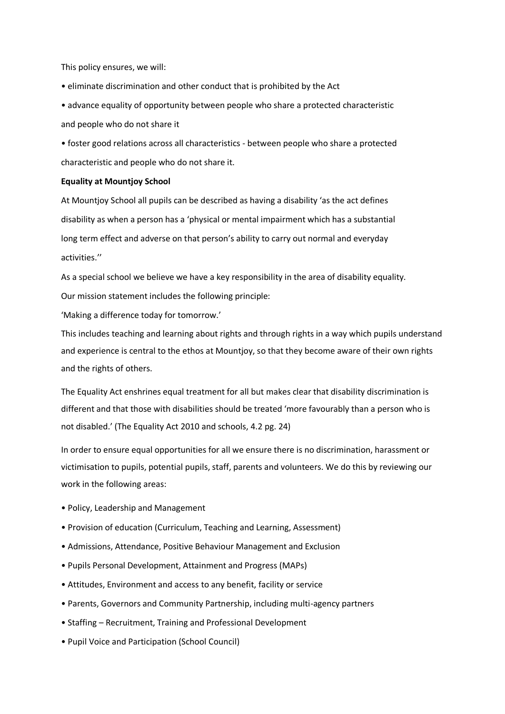This policy ensures, we will:

• eliminate discrimination and other conduct that is prohibited by the Act

• advance equality of opportunity between people who share a protected characteristic and people who do not share it

• foster good relations across all characteristics - between people who share a protected characteristic and people who do not share it.

## **Equality at Mountjoy School**

At Mountjoy School all pupils can be described as having a disability 'as the act defines disability as when a person has a 'physical or mental impairment which has a substantial long term effect and adverse on that person's ability to carry out normal and everyday activities.''

As a special school we believe we have a key responsibility in the area of disability equality. Our mission statement includes the following principle:

'Making a difference today for tomorrow.'

This includes teaching and learning about rights and through rights in a way which pupils understand and experience is central to the ethos at Mountjoy, so that they become aware of their own rights and the rights of others.

The Equality Act enshrines equal treatment for all but makes clear that disability discrimination is different and that those with disabilities should be treated 'more favourably than a person who is not disabled.' (The Equality Act 2010 and schools, 4.2 pg. 24)

In order to ensure equal opportunities for all we ensure there is no discrimination, harassment or victimisation to pupils, potential pupils, staff, parents and volunteers. We do this by reviewing our work in the following areas:

- Policy, Leadership and Management
- Provision of education (Curriculum, Teaching and Learning, Assessment)
- Admissions, Attendance, Positive Behaviour Management and Exclusion
- Pupils Personal Development, Attainment and Progress (MAPs)
- Attitudes, Environment and access to any benefit, facility or service
- Parents, Governors and Community Partnership, including multi-agency partners
- Staffing Recruitment, Training and Professional Development
- Pupil Voice and Participation (School Council)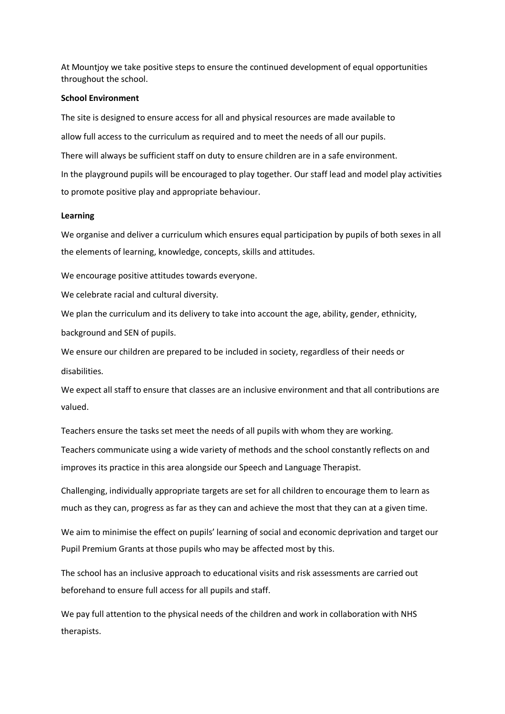At Mountjoy we take positive steps to ensure the continued development of equal opportunities throughout the school.

## **School Environment**

The site is designed to ensure access for all and physical resources are made available to allow full access to the curriculum as required and to meet the needs of all our pupils. There will always be sufficient staff on duty to ensure children are in a safe environment. In the playground pupils will be encouraged to play together. Our staff lead and model play activities to promote positive play and appropriate behaviour.

### **Learning**

We organise and deliver a curriculum which ensures equal participation by pupils of both sexes in all the elements of learning, knowledge, concepts, skills and attitudes.

We encourage positive attitudes towards everyone.

We celebrate racial and cultural diversity.

We plan the curriculum and its delivery to take into account the age, ability, gender, ethnicity, background and SEN of pupils.

We ensure our children are prepared to be included in society, regardless of their needs or disabilities.

We expect all staff to ensure that classes are an inclusive environment and that all contributions are valued.

Teachers ensure the tasks set meet the needs of all pupils with whom they are working.

Teachers communicate using a wide variety of methods and the school constantly reflects on and improves its practice in this area alongside our Speech and Language Therapist.

Challenging, individually appropriate targets are set for all children to encourage them to learn as much as they can, progress as far as they can and achieve the most that they can at a given time.

We aim to minimise the effect on pupils' learning of social and economic deprivation and target our Pupil Premium Grants at those pupils who may be affected most by this.

The school has an inclusive approach to educational visits and risk assessments are carried out beforehand to ensure full access for all pupils and staff.

We pay full attention to the physical needs of the children and work in collaboration with NHS therapists.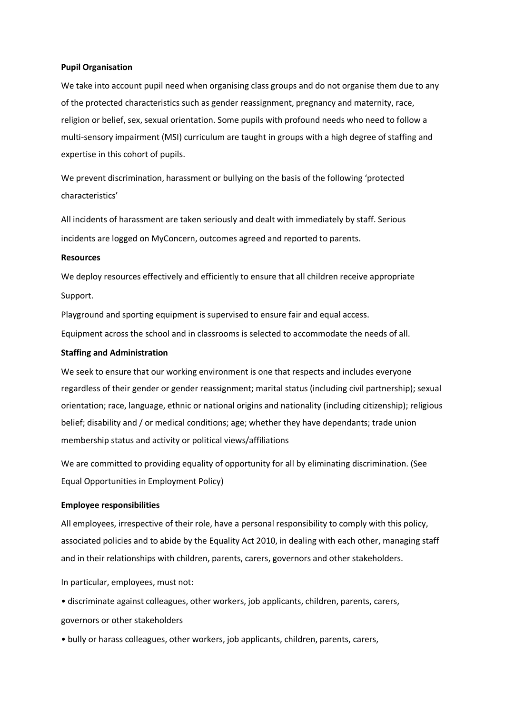#### **Pupil Organisation**

We take into account pupil need when organising class groups and do not organise them due to any of the protected characteristics such as gender reassignment, pregnancy and maternity, race, religion or belief, sex, sexual orientation. Some pupils with profound needs who need to follow a multi-sensory impairment (MSI) curriculum are taught in groups with a high degree of staffing and expertise in this cohort of pupils.

We prevent discrimination, harassment or bullying on the basis of the following 'protected characteristics'

All incidents of harassment are taken seriously and dealt with immediately by staff. Serious incidents are logged on MyConcern, outcomes agreed and reported to parents.

## **Resources**

We deploy resources effectively and efficiently to ensure that all children receive appropriate Support.

Playground and sporting equipment is supervised to ensure fair and equal access.

Equipment across the school and in classrooms is selected to accommodate the needs of all.

#### **Staffing and Administration**

We seek to ensure that our working environment is one that respects and includes everyone regardless of their gender or gender reassignment; marital status (including civil partnership); sexual orientation; race, language, ethnic or national origins and nationality (including citizenship); religious belief; disability and / or medical conditions; age; whether they have dependants; trade union membership status and activity or political views/affiliations

We are committed to providing equality of opportunity for all by eliminating discrimination. (See Equal Opportunities in Employment Policy)

### **Employee responsibilities**

All employees, irrespective of their role, have a personal responsibility to comply with this policy, associated policies and to abide by the Equality Act 2010, in dealing with each other, managing staff and in their relationships with children, parents, carers, governors and other stakeholders.

In particular, employees, must not:

• discriminate against colleagues, other workers, job applicants, children, parents, carers,

governors or other stakeholders

• bully or harass colleagues, other workers, job applicants, children, parents, carers,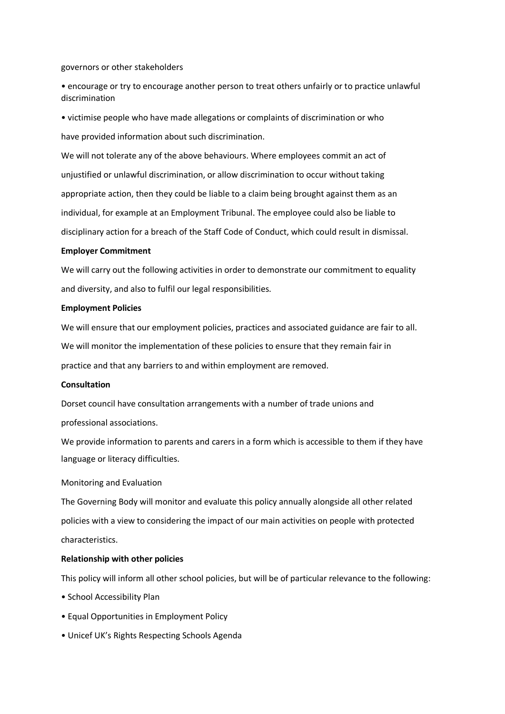governors or other stakeholders

• encourage or try to encourage another person to treat others unfairly or to practice unlawful discrimination

• victimise people who have made allegations or complaints of discrimination or who have provided information about such discrimination.

We will not tolerate any of the above behaviours. Where employees commit an act of unjustified or unlawful discrimination, or allow discrimination to occur without taking appropriate action, then they could be liable to a claim being brought against them as an individual, for example at an Employment Tribunal. The employee could also be liable to disciplinary action for a breach of the Staff Code of Conduct, which could result in dismissal.

#### **Employer Commitment**

We will carry out the following activities in order to demonstrate our commitment to equality and diversity, and also to fulfil our legal responsibilities.

#### **Employment Policies**

We will ensure that our employment policies, practices and associated guidance are fair to all. We will monitor the implementation of these policies to ensure that they remain fair in practice and that any barriers to and within employment are removed.

#### **Consultation**

Dorset council have consultation arrangements with a number of trade unions and professional associations.

We provide information to parents and carers in a form which is accessible to them if they have language or literacy difficulties.

Monitoring and Evaluation

The Governing Body will monitor and evaluate this policy annually alongside all other related policies with a view to considering the impact of our main activities on people with protected characteristics.

### **Relationship with other policies**

This policy will inform all other school policies, but will be of particular relevance to the following:

- School Accessibility Plan
- Equal Opportunities in Employment Policy
- Unicef UK's Rights Respecting Schools Agenda